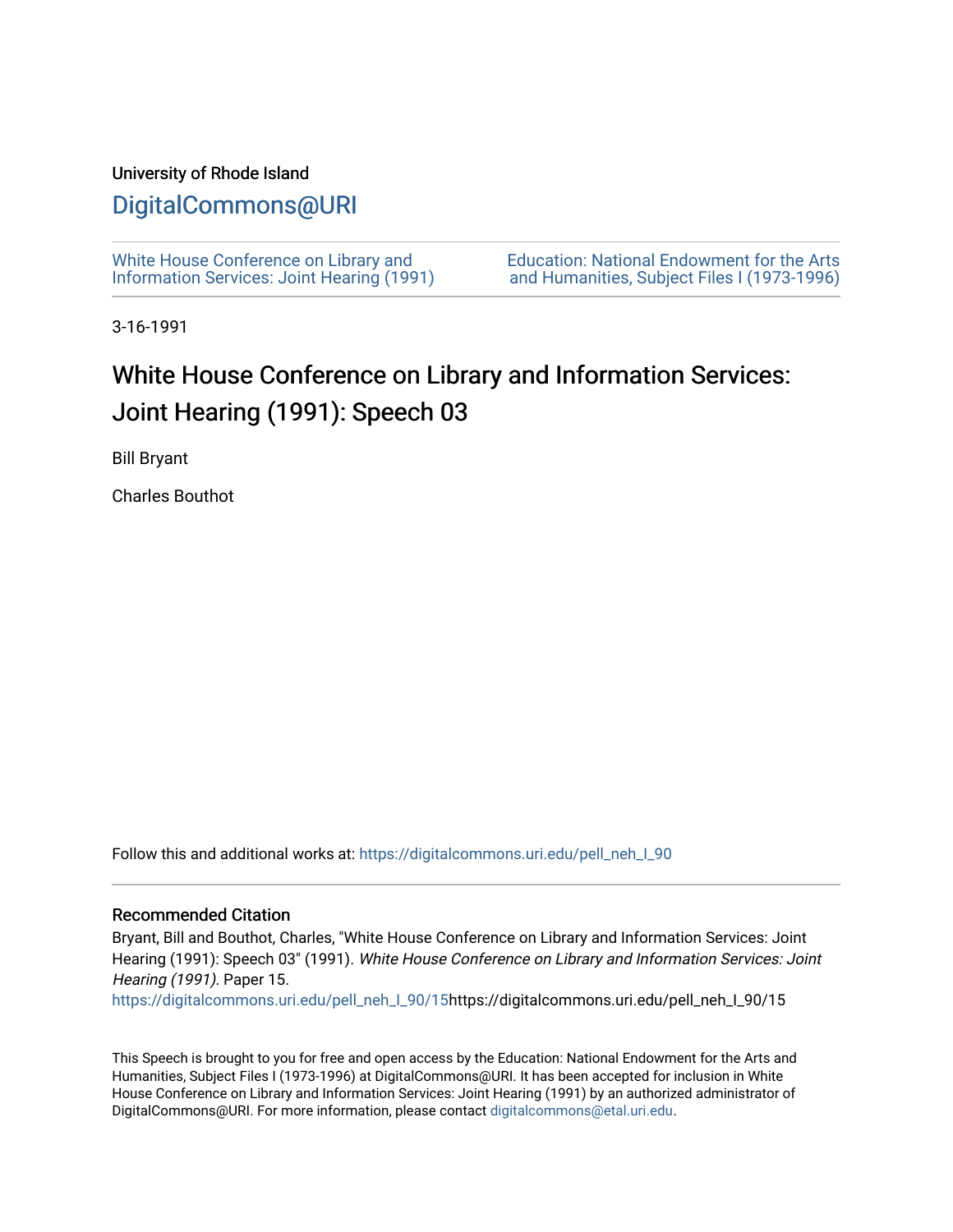#### University of Rhode Island

## [DigitalCommons@URI](https://digitalcommons.uri.edu/)

[White House Conference on Library and](https://digitalcommons.uri.edu/pell_neh_I_90) [Information Services: Joint Hearing \(1991\)](https://digitalcommons.uri.edu/pell_neh_I_90) [Education: National Endowment for the Arts](https://digitalcommons.uri.edu/pell_neh_I)  [and Humanities, Subject Files I \(1973-1996\)](https://digitalcommons.uri.edu/pell_neh_I) 

3-16-1991

## White House Conference on Library and Information Services: Joint Hearing (1991): Speech 03

Bill Bryant

Charles Bouthot

Follow this and additional works at: [https://digitalcommons.uri.edu/pell\\_neh\\_I\\_90](https://digitalcommons.uri.edu/pell_neh_I_90?utm_source=digitalcommons.uri.edu%2Fpell_neh_I_90%2F15&utm_medium=PDF&utm_campaign=PDFCoverPages) 

#### Recommended Citation

Bryant, Bill and Bouthot, Charles, "White House Conference on Library and Information Services: Joint Hearing (1991): Speech 03" (1991). White House Conference on Library and Information Services: Joint Hearing (1991). Paper 15.

[https://digitalcommons.uri.edu/pell\\_neh\\_I\\_90/15h](https://digitalcommons.uri.edu/pell_neh_I_90/15?utm_source=digitalcommons.uri.edu%2Fpell_neh_I_90%2F15&utm_medium=PDF&utm_campaign=PDFCoverPages)ttps://digitalcommons.uri.edu/pell\_neh\_I\_90/15

This Speech is brought to you for free and open access by the Education: National Endowment for the Arts and Humanities, Subject Files I (1973-1996) at DigitalCommons@URI. It has been accepted for inclusion in White House Conference on Library and Information Services: Joint Hearing (1991) by an authorized administrator of DigitalCommons@URI. For more information, please contact [digitalcommons@etal.uri.edu.](mailto:digitalcommons@etal.uri.edu)